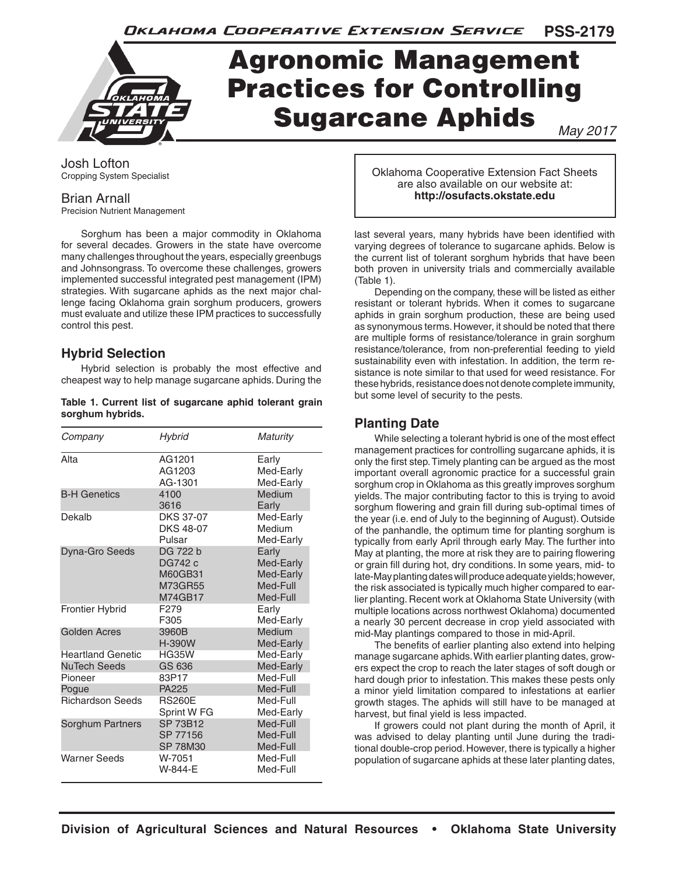

# Agronomic Management Practices for Controlling Sugarcane Aphids

*May 2017*

Josh Lofton Cropping System Specialist

## Brian Arnall

Precision Nutrient Management

Sorghum has been a major commodity in Oklahoma for several decades. Growers in the state have overcome many challenges throughout the years, especially greenbugs and Johnsongrass. To overcome these challenges, growers implemented successful integrated pest management (IPM) strategies. With sugarcane aphids as the next major challenge facing Oklahoma grain sorghum producers, growers must evaluate and utilize these IPM practices to successfully control this pest.

## **Hybrid Selection**

Hybrid selection is probably the most effective and cheapest way to help manage sugarcane aphids. During the

#### **Table 1. Current list of sugarcane aphid tolerant grain sorghum hybrids.**

| Company                  | Hybrid                                               | Maturity                                                |
|--------------------------|------------------------------------------------------|---------------------------------------------------------|
| Alta                     | AG1201<br>AG1203<br>AG-1301                          | Early<br>Med-Early<br>Med-Early                         |
| <b>B-H Genetics</b>      | 4100<br>3616                                         | Medium<br>Early                                         |
| Dekalb                   | <b>DKS 37-07</b><br><b>DKS 48-07</b><br>Pulsar       | Med-Early<br>Medium<br>Med-Early                        |
| Dyna-Gro Seeds           | DG 722 b<br>DG742 c<br>M60GB31<br>M73GR55<br>M74GB17 | Early<br>Med-Early<br>Med-Early<br>Med-Full<br>Med-Full |
| <b>Frontier Hybrid</b>   | F <sub>279</sub><br>F305                             | Early<br>Med-Early                                      |
| Golden Acres             | 3960B<br>H-390W                                      | Medium<br>Med-Early                                     |
| <b>Heartland Genetic</b> | <b>HG35W</b>                                         | Med-Early                                               |
| NuTech Seeds             | GS 636                                               | Med-Early                                               |
| Pioneer                  | 83P17                                                | Med-Full                                                |
| Pogue                    | PA225                                                | Med-Full                                                |
| <b>Richardson Seeds</b>  | <b>RS260E</b><br>Sprint W <sub>FG</sub>              | Med-Full<br>Med-Early                                   |
| Sorghum Partners         | <b>SP 73B12</b><br>SP 77156<br><b>SP 78M30</b>       | Med-Full<br>Med-Full<br>Med-Full                        |
| <b>Warner Seeds</b>      | W-7051<br>W-844-F                                    | Med-Full<br>Med-Full                                    |

Oklahoma Cooperative Extension Fact Sheets are also available on our website at: **http://osufacts.okstate.edu**

last several years, many hybrids have been identified with varying degrees of tolerance to sugarcane aphids. Below is the current list of tolerant sorghum hybrids that have been both proven in university trials and commercially available (Table 1).

Depending on the company, these will be listed as either resistant or tolerant hybrids. When it comes to sugarcane aphids in grain sorghum production, these are being used as synonymous terms. However, it should be noted that there are multiple forms of resistance/tolerance in grain sorghum resistance/tolerance, from non-preferential feeding to yield sustainability even with infestation. In addition, the term resistance is note similar to that used for weed resistance. For these hybrids, resistance does not denote complete immunity, but some level of security to the pests.

# **Planting Date**

While selecting a tolerant hybrid is one of the most effect management practices for controlling sugarcane aphids, it is only the first step. Timely planting can be argued as the most important overall agronomic practice for a successful grain sorghum crop in Oklahoma as this greatly improves sorghum yields. The major contributing factor to this is trying to avoid sorghum flowering and grain fill during sub-optimal times of the year (i.e. end of July to the beginning of August). Outside of the panhandle, the optimum time for planting sorghum is typically from early April through early May. The further into May at planting, the more at risk they are to pairing flowering or grain fill during hot, dry conditions. In some years, mid- to late-May planting dates will produce adequate yields; however, the risk associated is typically much higher compared to earlier planting. Recent work at Oklahoma State University (with multiple locations across northwest Oklahoma) documented a nearly 30 percent decrease in crop yield associated with mid-May plantings compared to those in mid-April.

The benefits of earlier planting also extend into helping manage sugarcane aphids. With earlier planting dates, growers expect the crop to reach the later stages of soft dough or hard dough prior to infestation. This makes these pests only a minor yield limitation compared to infestations at earlier growth stages. The aphids will still have to be managed at harvest, but final yield is less impacted.

If growers could not plant during the month of April, it was advised to delay planting until June during the traditional double-crop period. However, there is typically a higher population of sugarcane aphids at these later planting dates,